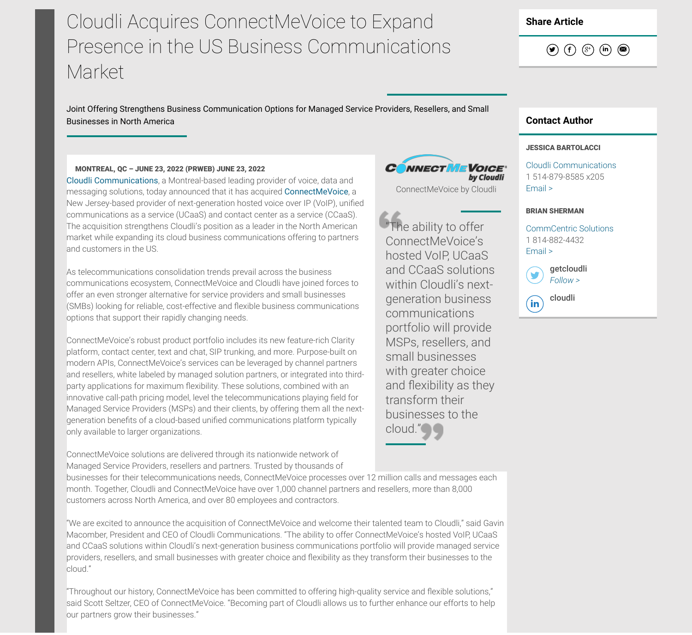# Cloudli Acquires ConnectMeVoice to Expand Presence in the US Business Communications Market

Joint Offering Strengthens Business Communication Options for Managed Service Providers, Resellers, and Small Businesses in North America Contact Author

# MONTREAL, QC – JUNE 23, 2022 (PRWEB) JUNE 23, 2022

Cloudli Communications, a Montreal-based leading provider of voice, data and messaging solutions, today announced that it has acquired ConnectMeVoice, a New Jersey-based provider of next-generation hosted voice over IP (VoIP), unified communications as a service (UCaaS) and contact center as a service (CCaaS). The acquisition strengthens Cloudli's position as a leader in the North American market while expanding its cloud business communications offering to partners and customers in the US.

As telecommunications consolidation trends prevail across the business communications ecosystem, ConnectMeVoice and Cloudli have joined forces to offer an even stronger alternative for service providers and small businesses (SMBs) looking for reliable, cost-effective and flexible business communications options that support their rapidly changing needs.

ConnectMeVoice's robust product portfolio includes its new feature-rich Clarity platform, contact center, text and chat, SIP trunking, and more. Purpose-built on modern APIs, ConnectMeVoice's services can be leveraged by channel partners and resellers, white labeled by managed solution partners, or integrated into thirdparty applications for maximum flexibility. These solutions, combined with an innovative call-path pricing model, level the telecommunications playing field for Managed Service Providers (MSPs) and their clients, by offering them all the nextgeneration benefits of a cloud-based unified communications platform typically only available to larger organizations.

ConnectMeVoice solutions are delivered through its nationwide network of Managed Service Providers, resellers and partners. Trusted by thousands of

businesses for their telecommunications needs, ConnectMeVoice processes over 12 million calls and messages each month. Together, Cloudli and ConnectMeVoice have over 1,000 channel partners and resellers, more than 8,000 customers across North America, and over 80 employees and contractors.

"We are excited to announce the acquisition of ConnectMeVoice and welcome their talented team to Cloudli," said Gavin Macomber, President and CEO of Cloudli Communications. "The ability to offer ConnectMeVoice's hosted VoIP, UCaaS and CCaaS solutions within Cloudli's next-generation business communications portfolio will provide managed service providers, resellers, and small businesses with greater choice and flexibility as they transform their businesses to the cloud."

"Throughout our history, ConnectMeVoice has been committed to offering high-quality service and flexible solutions," said Scott Seltzer, CEO of ConnectMeVoice. "Becoming part of Cloudli allows us to further enhance our efforts to help our partners grow their businesses."



### JESSICA BARTOLACCI

Cloudli Communications 1 514-879-8585 x205 Email >

#### BRIAN SHERMAN

CommCentric Solutions 1 814-882-4432 Email >

getcloudli Follow <sup>&</sup>gt;

 $\binom{1}{\text{in}}$  cloudli

Share Article





ConnectMeVoice by Cloudli

by Cloudli

**CONNECTIVE VOICE** 

"The ability to offer ConnectMeVoice's hosted VoIP, UCaaS and CCaaS solutions within Cloudli's nextgeneration business

communications

portfolio will provide MSPs, resellers, and small businesses with greater choice